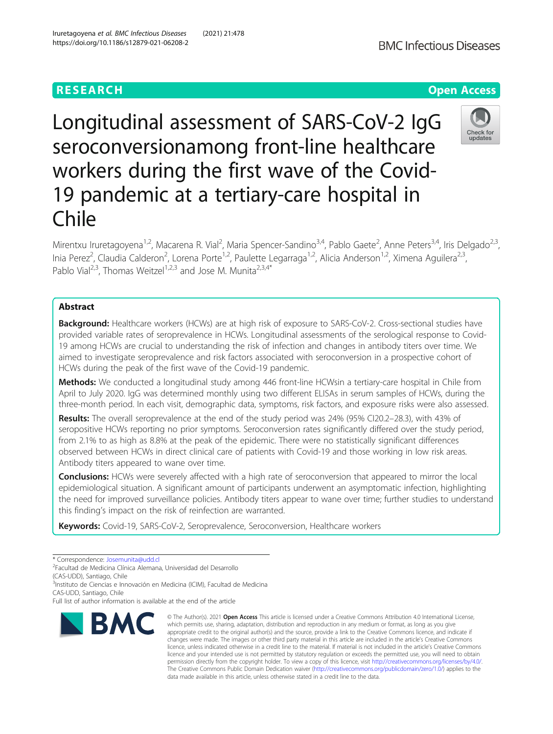# **RESEARCH CHEAR CHEAR CHEAR CHEAR CHEAR CHEAR CHEAR CHEAR CHEAR CHEAR CHEAR CHEAR CHEAR CHEAR CHEAR CHEAR CHEAR**

Longitudinal assessment of SARS-CoV-2 IgG seroconversionamong front-line healthcare workers during the first wave of the Covid-19 pandemic at a tertiary-care hospital in Chile

Mirentxu Iruretagoyena<sup>1,2</sup>, Macarena R. Vial<sup>2</sup>, Maria Spencer-Sandino<sup>3,4</sup>, Pablo Gaete<sup>2</sup>, Anne Peters<sup>3,4</sup>, Iris Delgado<sup>2,3</sup>, Inia Perez<sup>2</sup>, Claudia Calderon<sup>2</sup>, Lorena Porte<sup>1,2</sup>, Paulette Legarraga<sup>1,2</sup>, Alicia Anderson<sup>1,2</sup>, Ximena Aguilera<sup>2,3</sup>, Pablo Vial<sup>2,3</sup>, Thomas Weitzel<sup>1,2,3</sup> and Jose M. Munita<sup>2,3,4\*</sup>

# Abstract

Background: Healthcare workers (HCWs) are at high risk of exposure to SARS-CoV-2. Cross-sectional studies have provided variable rates of seroprevalence in HCWs. Longitudinal assessments of the serological response to Covid-19 among HCWs are crucial to understanding the risk of infection and changes in antibody titers over time. We aimed to investigate seroprevalence and risk factors associated with seroconversion in a prospective cohort of HCWs during the peak of the first wave of the Covid-19 pandemic.

Methods: We conducted a longitudinal study among 446 front-line HCWsin a tertiary-care hospital in Chile from April to July 2020. IgG was determined monthly using two different ELISAs in serum samples of HCWs, during the three-month period. In each visit, demographic data, symptoms, risk factors, and exposure risks were also assessed.

Results: The overall seroprevalence at the end of the study period was 24% (95% CI20.2–28.3), with 43% of seropositive HCWs reporting no prior symptoms. Seroconversion rates significantly differed over the study period, from 2.1% to as high as 8.8% at the peak of the epidemic. There were no statistically significant differences observed between HCWs in direct clinical care of patients with Covid-19 and those working in low risk areas. Antibody titers appeared to wane over time.

**Conclusions:** HCWs were severely affected with a high rate of seroconversion that appeared to mirror the local epidemiological situation. A significant amount of participants underwent an asymptomatic infection, highlighting the need for improved surveillance policies. Antibody titers appear to wane over time; further studies to understand this finding's impact on the risk of reinfection are warranted.

Keywords: Covid-19, SARS-CoV-2, Seroprevalence, Seroconversion, Healthcare workers

\* Correspondence: [Josemunita@udd.cl](mailto:Josemunita@udd.cl) <sup>2</sup>

Facultad de Medicina Clínica Alemana, Universidad del Desarrollo

(CAS-UDD), Santiago, Chile 3 Instituto de Ciencias e Innovación en Medicina (ICIM), Facultad de Medicina

CAS-UDD, Santiago, Chile

Full list of author information is available at the end of the article

# © The Author(s), 2021 **Open Access** This article is licensed under a Creative Commons Attribution 4.0 International License, **BMC** which permits use, sharing, adaptation, distribution and reproduction in any medium or format, as long as you give

appropriate credit to the original author(s) and the source, provide a link to the Creative Commons licence, and indicate if changes were made. The images or other third party material in this article are included in the article's Creative Commons licence, unless indicated otherwise in a credit line to the material. If material is not included in the article's Creative Commons licence and your intended use is not permitted by statutory regulation or exceeds the permitted use, you will need to obtain permission directly from the copyright holder. To view a copy of this licence, visit [http://creativecommons.org/licenses/by/4.0/.](http://creativecommons.org/licenses/by/4.0/) The Creative Commons Public Domain Dedication waiver [\(http://creativecommons.org/publicdomain/zero/1.0/](http://creativecommons.org/publicdomain/zero/1.0/)) applies to the data made available in this article, unless otherwise stated in a credit line to the data.

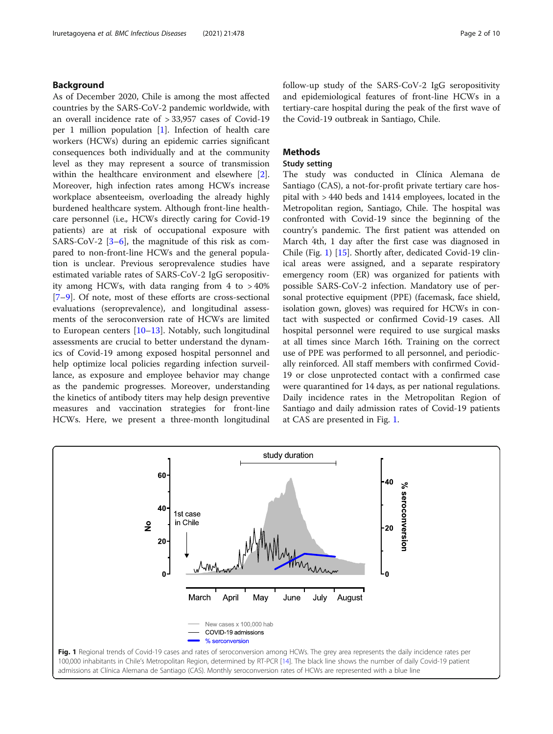## <span id="page-1-0"></span>Background

As of December 2020, Chile is among the most affected countries by the SARS-CoV-2 pandemic worldwide, with an overall incidence rate of > 33,957 cases of Covid-19 per 1 million population [\[1](#page-8-0)]. Infection of health care workers (HCWs) during an epidemic carries significant consequences both individually and at the community level as they may represent a source of transmission within the healthcare environment and elsewhere [\[2](#page-8-0)]. Moreover, high infection rates among HCWs increase workplace absenteeism, overloading the already highly burdened healthcare system. Although front-line healthcare personnel (i.e., HCWs directly caring for Covid-19 patients) are at risk of occupational exposure with SARS-CoV-2  $[3-6]$  $[3-6]$  $[3-6]$  $[3-6]$  $[3-6]$ , the magnitude of this risk as compared to non-front-line HCWs and the general population is unclear. Previous seroprevalence studies have estimated variable rates of SARS-CoV-2 IgG seropositivity among HCWs, with data ranging from  $4$  to  $>40\%$ [[7](#page-8-0)–[9\]](#page-8-0). Of note, most of these efforts are cross-sectional evaluations (seroprevalence), and longitudinal assessments of the seroconversion rate of HCWs are limited to European centers [[10](#page-8-0)–[13\]](#page-8-0). Notably, such longitudinal assessments are crucial to better understand the dynamics of Covid-19 among exposed hospital personnel and help optimize local policies regarding infection surveillance, as exposure and employee behavior may change as the pandemic progresses. Moreover, understanding the kinetics of antibody titers may help design preventive measures and vaccination strategies for front-line HCWs. Here, we present a three-month longitudinal follow-up study of the SARS-CoV-2 IgG seropositivity and epidemiological features of front-line HCWs in a tertiary-care hospital during the peak of the first wave of the Covid-19 outbreak in Santiago, Chile.

### **Methods**

#### Study setting

The study was conducted in Clínica Alemana de Santiago (CAS), a not-for-profit private tertiary care hospital with > 440 beds and 1414 employees, located in the Metropolitan region, Santiago, Chile. The hospital was confronted with Covid-19 since the beginning of the country's pandemic. The first patient was attended on March 4th, 1 day after the first case was diagnosed in Chile (Fig. 1) [[15\]](#page-8-0). Shortly after, dedicated Covid-19 clinical areas were assigned, and a separate respiratory emergency room (ER) was organized for patients with possible SARS-CoV-2 infection. Mandatory use of personal protective equipment (PPE) (facemask, face shield, isolation gown, gloves) was required for HCWs in contact with suspected or confirmed Covid-19 cases. All hospital personnel were required to use surgical masks at all times since March 16th. Training on the correct use of PPE was performed to all personnel, and periodically reinforced. All staff members with confirmed Covid-19 or close unprotected contact with a confirmed case were quarantined for 14 days, as per national regulations. Daily incidence rates in the Metropolitan Region of Santiago and daily admission rates of Covid-19 patients at CAS are presented in Fig. 1.

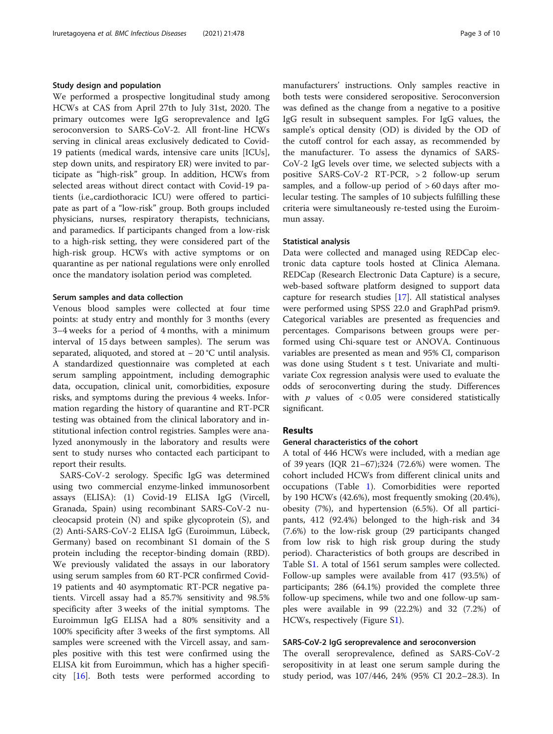#### Study design and population

We performed a prospective longitudinal study among HCWs at CAS from April 27th to July 31st, 2020. The primary outcomes were IgG seroprevalence and IgG seroconversion to SARS-CoV-2. All front-line HCWs serving in clinical areas exclusively dedicated to Covid-19 patients (medical wards, intensive care units [ICUs], step down units, and respiratory ER) were invited to participate as "high-risk" group. In addition, HCWs from selected areas without direct contact with Covid-19 patients (i.e.,cardiothoracic ICU) were offered to participate as part of a "low-risk" group. Both groups included physicians, nurses, respiratory therapists, technicians, and paramedics. If participants changed from a low-risk to a high-risk setting, they were considered part of the high-risk group. HCWs with active symptoms or on quarantine as per national regulations were only enrolled once the mandatory isolation period was completed.

#### Serum samples and data collection

Venous blood samples were collected at four time points: at study entry and monthly for 3 months (every 3–4 weeks for a period of 4 months, with a minimum interval of 15 days between samples). The serum was separated, aliquoted, and stored at − 20 °C until analysis. A standardized questionnaire was completed at each serum sampling appointment, including demographic data, occupation, clinical unit, comorbidities, exposure risks, and symptoms during the previous 4 weeks. Information regarding the history of quarantine and RT-PCR testing was obtained from the clinical laboratory and institutional infection control registries. Samples were analyzed anonymously in the laboratory and results were sent to study nurses who contacted each participant to report their results.

SARS-CoV-2 serology. Specific IgG was determined using two commercial enzyme-linked immunosorbent assays (ELISA): (1) Covid-19 ELISA IgG (Vircell, Granada, Spain) using recombinant SARS-CoV-2 nucleocapsid protein (N) and spike glycoprotein (S), and (2) Anti-SARS-CoV-2 ELISA IgG (Euroimmun, Lübeck, Germany) based on recombinant S1 domain of the S protein including the receptor-binding domain (RBD). We previously validated the assays in our laboratory using serum samples from 60 RT-PCR confirmed Covid-19 patients and 40 asymptomatic RT-PCR negative patients. Vircell assay had a 85.7% sensitivity and 98.5% specificity after 3 weeks of the initial symptoms. The Euroimmun IgG ELISA had a 80% sensitivity and a 100% specificity after 3 weeks of the first symptoms. All samples were screened with the Vircell assay, and samples positive with this test were confirmed using the ELISA kit from Euroimmun, which has a higher specificity [[16\]](#page-8-0). Both tests were performed according to manufacturers' instructions. Only samples reactive in both tests were considered seropositive. Seroconversion was defined as the change from a negative to a positive IgG result in subsequent samples. For IgG values, the sample's optical density (OD) is divided by the OD of the cutoff control for each assay, as recommended by the manufacturer. To assess the dynamics of SARS-CoV-2 IgG levels over time, we selected subjects with a positive SARS-CoV-2 RT-PCR, > 2 follow-up serum samples, and a follow-up period of  $>60$  days after molecular testing. The samples of 10 subjects fulfilling these criteria were simultaneously re-tested using the Euroimmun assay.

#### Statistical analysis

Data were collected and managed using REDCap electronic data capture tools hosted at Clinica Alemana. REDCap (Research Electronic Data Capture) is a secure, web-based software platform designed to support data capture for research studies [\[17](#page-8-0)]. All statistical analyses were performed using SPSS 22.0 and GraphPad prism9. Categorical variables are presented as frequencies and percentages. Comparisons between groups were performed using Chi-square test or ANOVA. Continuous variables are presented as mean and 95% CI, comparison was done using Student s t test. Univariate and multivariate Cox regression analysis were used to evaluate the odds of seroconverting during the study. Differences with  $p$  values of  $< 0.05$  were considered statistically significant.

# Results

#### General characteristics of the cohort

A total of 446 HCWs were included, with a median age of 39 years (IQR 21–67);324 (72.6%) were women. The cohort included HCWs from different clinical units and occupations (Table [1](#page-3-0)). Comorbidities were reported by 190 HCWs (42.6%), most frequently smoking (20.4%), obesity (7%), and hypertension (6.5%). Of all participants, 412 (92.4%) belonged to the high-risk and 34 (7.6%) to the low-risk group (29 participants changed from low risk to high risk group during the study period). Characteristics of both groups are described in Table [S1](#page-7-0). A total of 1561 serum samples were collected. Follow-up samples were available from 417 (93.5%) of participants; 286 (64.1%) provided the complete three follow-up specimens, while two and one follow-up samples were available in 99 (22.2%) and 32 (7.2%) of HCWs, respectively (Figure S[1\)](#page-7-0).

#### SARS-CoV-2 IgG seroprevalence and seroconversion

The overall seroprevalence, defined as SARS-CoV-2 seropositivity in at least one serum sample during the study period, was 107/446, 24% (95% CI 20.2–28.3). In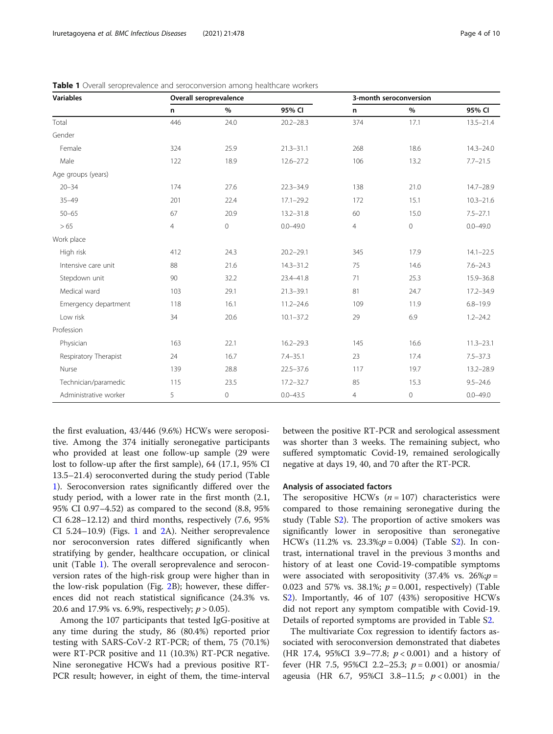| <b>Variables</b>      | Overall seroprevalence |                |               | 3-month seroconversion |             |               |
|-----------------------|------------------------|----------------|---------------|------------------------|-------------|---------------|
|                       | n                      | $\%$           | 95% CI        | n                      | $\%$        | 95% CI        |
| Total                 | 446                    | 24.0           | $20.2 - 28.3$ | 374                    | 17.1        | $13.5 - 21.4$ |
| Gender                |                        |                |               |                        |             |               |
| Female                | 324                    | 25.9           | $21.3 - 31.1$ | 268                    | 18.6        | $14.3 - 24.0$ |
| Male                  | 122                    | 18.9           | $12.6 - 27.2$ | 106                    | 13.2        | $7.7 - 21.5$  |
| Age groups (years)    |                        |                |               |                        |             |               |
| $20 - 34$             | 174                    | 27.6           | $22.3 - 34.9$ | 138                    | 21.0        | $14.7 - 28.9$ |
| $35 - 49$             | 201                    | 22.4           | $17.1 - 29.2$ | 172                    | 15.1        | $10.3 - 21.6$ |
| $50 - 65$             | 67                     | 20.9           | $13.2 - 31.8$ | 60                     | 15.0        | $7.5 - 27.1$  |
| > 65                  | $\overline{4}$         | $\overline{0}$ | $0.0 - 49.0$  | $\overline{4}$         | 0           | $0.0 - 49.0$  |
| Work place            |                        |                |               |                        |             |               |
| High risk             | 412                    | 24.3           | $20.2 - 29.1$ | 345                    | 17.9        | $14.1 - 22.5$ |
| Intensive care unit   | 88                     | 21.6           | $14.3 - 31.2$ | 75                     | 14.6        | $7.6 - 24.3$  |
| Stepdown unit         | 90                     | 32.2           | 23.4-41.8     | 71                     | 25.3        | 15.9-36.8     |
| Medical ward          | 103                    | 29.1           | $21.3 - 39.1$ | 81                     | 24.7        | 17.2-34.9     |
| Emergency department  | 118                    | 16.1           | $11.2 - 24.6$ | 109                    | 11.9        | $6.8 - 19.9$  |
| Low risk              | 34                     | 20.6           | $10.1 - 37.2$ | 29                     | 6.9         | $1.2 - 24.2$  |
| Profession            |                        |                |               |                        |             |               |
| Physician             | 163                    | 22.1           | $16.2 - 29.3$ | 145                    | 16.6        | $11.3 - 23.1$ |
| Respiratory Therapist | 24                     | 16.7           | $7.4 - 35.1$  | 23                     | 17.4        | $7.5 - 37.3$  |
| Nurse                 | 139                    | 28.8           | $22.5 - 37.6$ | 117                    | 19.7        | 13.2-28.9     |
| Technician/paramedic  | 115                    | 23.5           | $17.2 - 32.7$ | 85                     | 15.3        | $9.5 - 24.6$  |
| Administrative worker | 5                      | $\mathbf 0$    | $0.0 - 43.5$  | $\overline{4}$         | $\mathbf 0$ | $0.0 - 49.0$  |

<span id="page-3-0"></span>Table 1 Overall seroprevalence and seroconversion among healthcare workers

the first evaluation, 43/446 (9.6%) HCWs were seropositive. Among the 374 initially seronegative participants who provided at least one follow-up sample (29 were lost to follow-up after the first sample), 64 (17.1, 95% CI 13.5–21.4) seroconverted during the study period (Table 1). Seroconversion rates significantly differed over the study period, with a lower rate in the first month (2.1, 95% CI 0.97–4.52) as compared to the second (8.8, 95% CI 6.28–12.12) and third months, respectively (7.6, 95% CI 5.24–10.9) (Figs. [1](#page-1-0) and [2](#page-4-0)A). Neither seroprevalence nor seroconversion rates differed significantly when stratifying by gender, healthcare occupation, or clinical unit (Table 1). The overall seroprevalence and seroconversion rates of the high-risk group were higher than in the low-risk population (Fig. [2B](#page-4-0)); however, these differences did not reach statistical significance (24.3% vs. 20.6 and 17.9% vs. 6.9%, respectively;  $p > 0.05$ ).

Among the 107 participants that tested IgG-positive at any time during the study, 86 (80.4%) reported prior testing with SARS-CoV-2 RT-PCR; of them, 75 (70.1%) were RT-PCR positive and 11 (10.3%) RT-PCR negative. Nine seronegative HCWs had a previous positive RT-PCR result; however, in eight of them, the time-interval between the positive RT-PCR and serological assessment was shorter than 3 weeks. The remaining subject, who suffered symptomatic Covid-19, remained serologically negative at days 19, 40, and 70 after the RT-PCR.

#### Analysis of associated factors

The seropositive HCWs  $(n = 107)$  characteristics were compared to those remaining seronegative during the study (Table [S2](#page-7-0)). The proportion of active smokers was significantly lower in seropositive than seronegative HCWs (11.2% vs.  $23.3\% ; p = 0.004$ ) (Table [S2](#page-7-0)). In contrast, international travel in the previous 3 months and history of at least one Covid-19-compatible symptoms were associated with seropositivity (37.4% vs.  $26\%;p=$ 0.023 and 57% vs. 38.1%;  $p = 0.001$ , respectively) (Table S[2\)](#page-7-0). Importantly, 46 of 107 (43%) seropositive HCWs did not report any symptom compatible with Covid-19. Details of reported symptoms are provided in Table [S2](#page-7-0).

The multivariate Cox regression to identify factors associated with seroconversion demonstrated that diabetes (HR 17.4, 95%CI 3.9-77.8;  $p < 0.001$ ) and a history of fever (HR 7.5, 95%CI 2.2–25.3;  $p = 0.001$ ) or anosmia/ ageusia (HR 6.7, 95%CI 3.8–11.5;  $p < 0.001$ ) in the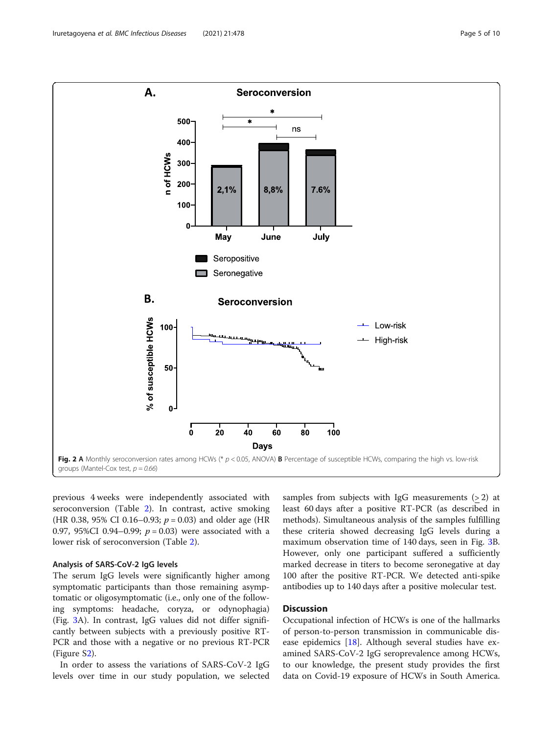<span id="page-4-0"></span>

previous 4 weeks were independently associated with seroconversion (Table [2](#page-5-0)). In contrast, active smoking (HR 0.38, 95% CI 0.16–0.93;  $p = 0.03$ ) and older age (HR 0.97, 95%CI 0.94–0.99;  $p = 0.03$ ) were associated with a lower risk of seroconversion (Table [2](#page-5-0)).

#### Analysis of SARS-CoV-2 IgG levels

The serum IgG levels were significantly higher among symptomatic participants than those remaining asymptomatic or oligosymptomatic (i.e., only one of the following symptoms: headache, coryza, or odynophagia) (Fig. [3A](#page-6-0)). In contrast, IgG values did not differ significantly between subjects with a previously positive RT-PCR and those with a negative or no previous RT-PCR (Figure S[2](#page-7-0)).

In order to assess the variations of SARS-CoV-2 IgG levels over time in our study population, we selected

samples from subjects with IgG measurements  $(>2)$  at least 60 days after a positive RT-PCR (as described in methods). Simultaneous analysis of the samples fulfilling these criteria showed decreasing IgG levels during a maximum observation time of 140 days, seen in Fig. [3B](#page-6-0). However, only one participant suffered a sufficiently marked decrease in titers to become seronegative at day 100 after the positive RT-PCR. We detected anti-spike antibodies up to 140 days after a positive molecular test.

# **Discussion**

Occupational infection of HCWs is one of the hallmarks of person-to-person transmission in communicable disease epidemics [[18\]](#page-8-0). Although several studies have examined SARS-CoV-2 IgG seroprevalence among HCWs, to our knowledge, the present study provides the first data on Covid-19 exposure of HCWs in South America.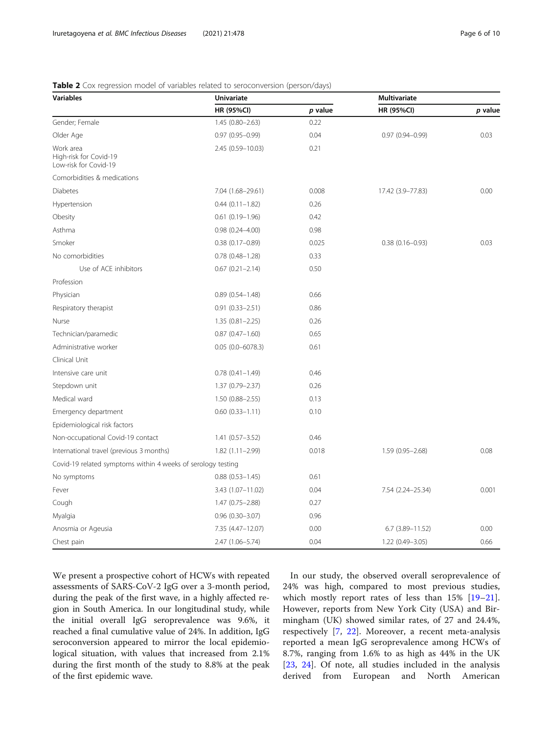# <span id="page-5-0"></span>Table 2 Cox regression model of variables related to seroconversion (person/days)

| <b>Variables</b>                                             | Univariate             | <b>Multivariate</b> |                     |         |
|--------------------------------------------------------------|------------------------|---------------------|---------------------|---------|
|                                                              | <b>HR (95%CI)</b>      | $p$ value           | HR (95%CI)          | p value |
| Gender; Female                                               | $1.45(0.80 - 2.63)$    | 0.22                |                     |         |
| Older Age                                                    | $0.97(0.95 - 0.99)$    | 0.04                | $0.97(0.94 - 0.99)$ | 0.03    |
| Work area<br>High-risk for Covid-19<br>Low-risk for Covid-19 | 2.45 (0.59-10.03)      | 0.21                |                     |         |
| Comorbidities & medications                                  |                        |                     |                     |         |
| <b>Diabetes</b>                                              | 7.04 (1.68-29.61)      | 0.008               | 17.42 (3.9-77.83)   | 0.00    |
| Hypertension                                                 | $0.44(0.11 - 1.82)$    | 0.26                |                     |         |
| Obesity                                                      | $0.61(0.19 - 1.96)$    | 0.42                |                     |         |
| Asthma                                                       | $0.98(0.24 - 4.00)$    | 0.98                |                     |         |
| Smoker                                                       | $0.38(0.17-0.89)$      | 0.025               | $0.38(0.16 - 0.93)$ | 0.03    |
| No comorbidities                                             | $0.78$ $(0.48 - 1.28)$ | 0.33                |                     |         |
| Use of ACE inhibitors                                        | $0.67(0.21 - 2.14)$    | 0.50                |                     |         |
| Profession                                                   |                        |                     |                     |         |
| Physician                                                    | $0.89(0.54 - 1.48)$    | 0.66                |                     |         |
| Respiratory therapist                                        | $0.91(0.33 - 2.51)$    | 0.86                |                     |         |
| Nurse                                                        | $1.35(0.81 - 2.25)$    | 0.26                |                     |         |
| Technician/paramedic                                         | $0.87(0.47 - 1.60)$    | 0.65                |                     |         |
| Administrative worker                                        | $0.05(0.0 - 6078.3)$   | 0.61                |                     |         |
| Clinical Unit                                                |                        |                     |                     |         |
| Intensive care unit                                          | $0.78$ $(0.41 - 1.49)$ | 0.46                |                     |         |
| Stepdown unit                                                | 1.37 (0.79-2.37)       | 0.26                |                     |         |
| Medical ward                                                 | $1.50(0.88 - 2.55)$    | 0.13                |                     |         |
| Emergency department                                         | $0.60$ $(0.33 - 1.11)$ | 0.10                |                     |         |
| Epidemiological risk factors                                 |                        |                     |                     |         |
| Non-occupational Covid-19 contact                            | $1.41(0.57 - 3.52)$    | 0.46                |                     |         |
| International travel (previous 3 months)                     | 1.82 (1.11-2.99)       | 0.018               | 1.59 (0.95-2.68)    | 0.08    |
| Covid-19 related symptoms within 4 weeks of serology testing |                        |                     |                     |         |
| No symptoms                                                  | $0.88$ $(0.53 - 1.45)$ | 0.61                |                     |         |
| Fever                                                        | 3.43 (1.07-11.02)      | 0.04                | 7.54 (2.24-25.34)   | 0.001   |
| Cough                                                        | 1.47 (0.75-2.88)       | 0.27                |                     |         |
| Myalgia                                                      | $0.96(0.30 - 3.07)$    | 0.96                |                     |         |
| Anosmia or Ageusia                                           | 7.35 (4.47-12.07)      | 0.00                | $6.7$ (3.89-11.52)  | 0.00    |
| Chest pain                                                   | 2.47 (1.06-5.74)       | 0.04                | 1.22 (0.49-3.05)    | 0.66    |

We present a prospective cohort of HCWs with repeated assessments of SARS-CoV-2 IgG over a 3-month period, during the peak of the first wave, in a highly affected region in South America. In our longitudinal study, while the initial overall IgG seroprevalence was 9.6%, it reached a final cumulative value of 24%. In addition, IgG seroconversion appeared to mirror the local epidemiological situation, with values that increased from 2.1% during the first month of the study to 8.8% at the peak of the first epidemic wave.

In our study, the observed overall seroprevalence of 24% was high, compared to most previous studies, which mostly report rates of less than 15% [\[19](#page-8-0)–[21](#page-8-0)]. However, reports from New York City (USA) and Birmingham (UK) showed similar rates, of 27 and 24.4%, respectively [\[7](#page-8-0), [22\]](#page-8-0). Moreover, a recent meta-analysis reported a mean IgG seroprevalence among HCWs of 8.7%, ranging from 1.6% to as high as 44% in the UK [[23,](#page-8-0) [24](#page-8-0)]. Of note, all studies included in the analysis derived from European and North American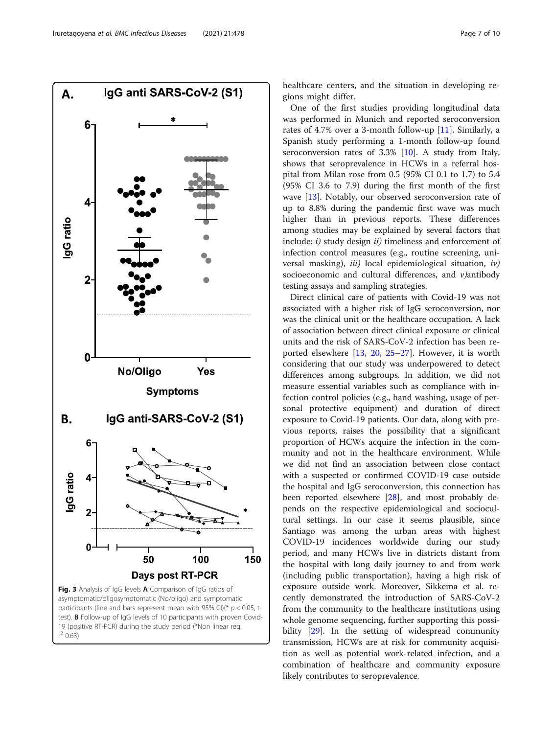<span id="page-6-0"></span>

healthcare centers, and the situation in developing regions might differ.

One of the first studies providing longitudinal data was performed in Munich and reported seroconversion rates of 4.7% over a 3-month follow-up [\[11](#page-8-0)]. Similarly, a Spanish study performing a 1-month follow-up found seroconversion rates of 3.3% [\[10\]](#page-8-0). A study from Italy, shows that seroprevalence in HCWs in a referral hospital from Milan rose from 0.5 (95% CI 0.1 to 1.7) to 5.4 (95% CI 3.6 to 7.9) during the first month of the first wave [[13\]](#page-8-0). Notably, our observed seroconversion rate of up to 8.8% during the pandemic first wave was much higher than in previous reports. These differences among studies may be explained by several factors that include:  $i$ ) study design  $ii$ ) timeliness and enforcement of infection control measures (e.g., routine screening, universal masking),  $iii$  local epidemiological situation,  $iv$ ) socioeconomic and cultural differences, and v)antibody testing assays and sampling strategies.

Direct clinical care of patients with Covid-19 was not associated with a higher risk of IgG seroconversion, nor was the clinical unit or the healthcare occupation. A lack of association between direct clinical exposure or clinical units and the risk of SARS-CoV-2 infection has been reported elsewhere [\[13,](#page-8-0) [20](#page-8-0), [25](#page-8-0)–[27](#page-8-0)]. However, it is worth considering that our study was underpowered to detect differences among subgroups. In addition, we did not measure essential variables such as compliance with infection control policies (e.g., hand washing, usage of personal protective equipment) and duration of direct exposure to Covid-19 patients. Our data, along with previous reports, raises the possibility that a significant proportion of HCWs acquire the infection in the community and not in the healthcare environment. While we did not find an association between close contact with a suspected or confirmed COVID-19 case outside the hospital and IgG seroconversion, this connection has been reported elsewhere [[28\]](#page-9-0), and most probably depends on the respective epidemiological and sociocultural settings. In our case it seems plausible, since Santiago was among the urban areas with highest COVID-19 incidences worldwide during our study period, and many HCWs live in districts distant from the hospital with long daily journey to and from work (including public transportation), having a high risk of exposure outside work. Moreover, Sikkema et al. recently demonstrated the introduction of SARS-CoV-2 from the community to the healthcare institutions using whole genome sequencing, further supporting this possibility [[29\]](#page-9-0). In the setting of widespread community transmission, HCWs are at risk for community acquisition as well as potential work-related infection, and a combination of healthcare and community exposure likely contributes to seroprevalence.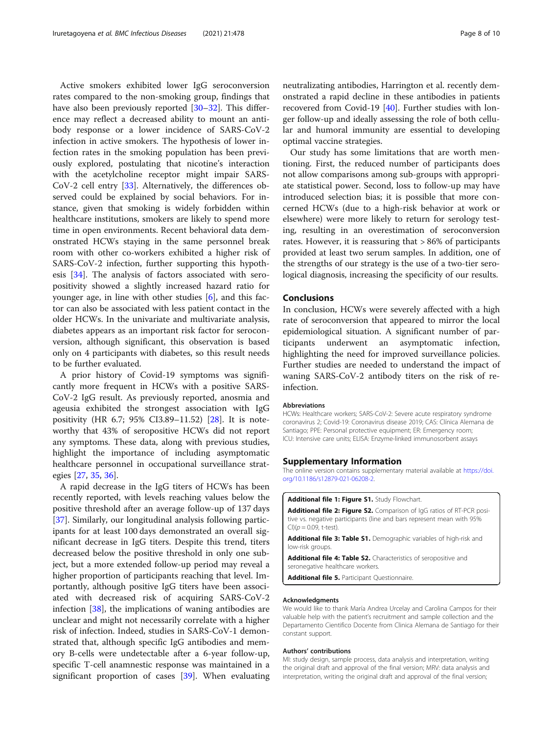<span id="page-7-0"></span>Active smokers exhibited lower IgG seroconversion rates compared to the non-smoking group, findings that have also been previously reported [[30](#page-9-0)–[32](#page-9-0)]. This difference may reflect a decreased ability to mount an antibody response or a lower incidence of SARS-CoV-2 infection in active smokers. The hypothesis of lower infection rates in the smoking population has been previously explored, postulating that nicotine's interaction with the acetylcholine receptor might impair SARS-CoV-2 cell entry [\[33\]](#page-9-0). Alternatively, the differences observed could be explained by social behaviors. For instance, given that smoking is widely forbidden within healthcare institutions, smokers are likely to spend more time in open environments. Recent behavioral data demonstrated HCWs staying in the same personnel break room with other co-workers exhibited a higher risk of SARS-CoV-2 infection, further supporting this hypothesis [\[34](#page-9-0)]. The analysis of factors associated with seropositivity showed a slightly increased hazard ratio for younger age, in line with other studies [\[6](#page-8-0)], and this factor can also be associated with less patient contact in the older HCWs. In the univariate and multivariate analysis, diabetes appears as an important risk factor for seroconversion, although significant, this observation is based only on 4 participants with diabetes, so this result needs to be further evaluated.

A prior history of Covid-19 symptoms was significantly more frequent in HCWs with a positive SARS-CoV-2 IgG result. As previously reported, anosmia and ageusia exhibited the strongest association with IgG positivity (HR 6.7; 95% CI3.89–11.52) [\[28](#page-9-0)]. It is noteworthy that 43% of seropositive HCWs did not report any symptoms. These data, along with previous studies, highlight the importance of including asymptomatic healthcare personnel in occupational surveillance strategies [[27](#page-8-0), [35](#page-9-0), [36](#page-9-0)].

A rapid decrease in the IgG titers of HCWs has been recently reported, with levels reaching values below the positive threshold after an average follow-up of 137 days [[37\]](#page-9-0). Similarly, our longitudinal analysis following participants for at least 100 days demonstrated an overall significant decrease in IgG titers. Despite this trend, titers decreased below the positive threshold in only one subject, but a more extended follow-up period may reveal a higher proportion of participants reaching that level. Importantly, although positive IgG titers have been associated with decreased risk of acquiring SARS-CoV-2 infection [\[38](#page-9-0)], the implications of waning antibodies are unclear and might not necessarily correlate with a higher risk of infection. Indeed, studies in SARS-CoV-1 demonstrated that, although specific IgG antibodies and memory B-cells were undetectable after a 6-year follow-up, specific T-cell anamnestic response was maintained in a significant proportion of cases [[39](#page-9-0)]. When evaluating neutralizating antibodies, Harrington et al. recently demonstrated a rapid decline in these antibodies in patients recovered from Covid-19 [[40](#page-9-0)]. Further studies with longer follow-up and ideally assessing the role of both cellular and humoral immunity are essential to developing optimal vaccine strategies.

Our study has some limitations that are worth mentioning. First, the reduced number of participants does not allow comparisons among sub-groups with appropriate statistical power. Second, loss to follow-up may have introduced selection bias; it is possible that more concerned HCWs (due to a high-risk behavior at work or elsewhere) were more likely to return for serology testing, resulting in an overestimation of seroconversion rates. However, it is reassuring that > 86% of participants provided at least two serum samples. In addition, one of the strengths of our strategy is the use of a two-tier serological diagnosis, increasing the specificity of our results.

#### **Conclusions**

In conclusion, HCWs were severely affected with a high rate of seroconversion that appeared to mirror the local epidemiological situation. A significant number of participants underwent an asymptomatic infection, highlighting the need for improved surveillance policies. Further studies are needed to understand the impact of waning SARS-CoV-2 antibody titers on the risk of reinfection.

#### Abbreviations

HCWs: Healthcare workers; SARS-CoV-2: Severe acute respiratory syndrome coronavirus 2; Covid-19: Coronavirus disease 2019; CAS: Clínica Alemana de Santiago; PPE: Personal protective equipment; ER: Emergency room; ICU: Intensive care units; ELISA: Enzyme-linked immunosorbent assays

#### Supplementary Information

The online version contains supplementary material available at [https://doi.](https://doi.org/10.1186/s12879-021-06208-2) [org/10.1186/s12879-021-06208-2.](https://doi.org/10.1186/s12879-021-06208-2)

Additional file 1: Figure S1. Study Flowchart.

Additional file 2: Figure S2. Comparison of IgG ratios of RT-PCR positive vs. negative participants (line and bars represent mean with 95%  $Cl$ )( $p = 0.09$ , t-test).

Additional file 3: Table S1. Demographic variables of high-risk and low-risk groups.

Additional file 4: Table S2. Characteristics of seropositive and seronegative healthcare workers.

Additional file 5. Participant Questionnaire.

#### Acknowledgments

We would like to thank María Andrea Urcelay and Carolina Campos for their valuable help with the patient's recruitment and sample collection and the Departamento Cientifico Docente from Clinica Alemana de Santiago for their constant support.

#### Authors' contributions

MI: study design, sample process, data analysis and interpretation, writing the original draft and approval of the final version; MRV: data analysis and interpretation, writing the original draft and approval of the final version;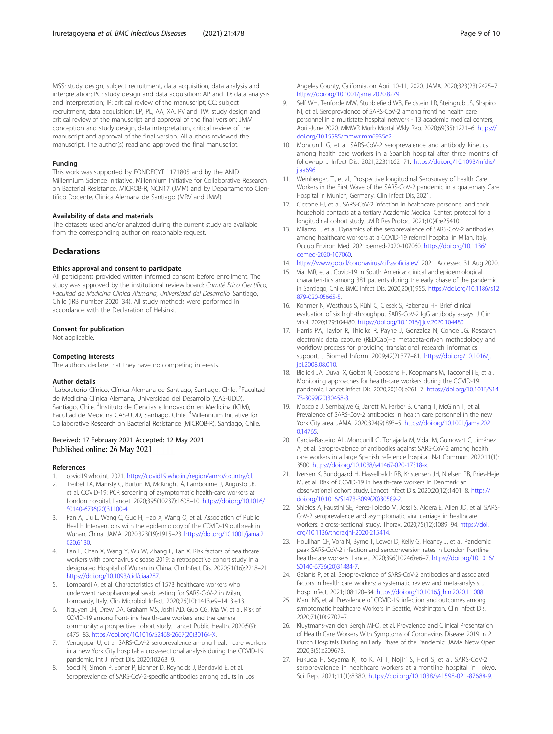<span id="page-8-0"></span>MSS: study design, subject recruitment, data acquisition, data analysis and interpretation; PG: study design and data acquisition; AP and ID: data analysis and interpretation; IP: critical review of the manuscript; CC: subject recruitment, data acquisition; LP, PL, AA, XA, PV and TW: study design and critical review of the manuscript and approval of the final version; JMM: conception and study design, data interpretation, critical review of the manuscript and approval of the final version. All authors reviewed the manuscript. The author(s) read and approved the final manuscript.

#### Funding

This work was supported by FONDECYT 1171805 and by the ANID Millennium Science Initiative, Millennium Initiative for Collaborative Research on Bacterial Resistance, MICROB-R, NCN17 (JMM) and by Departamento Cientifico Docente, Clinica Alemana de Santiago (MRV and JMM).

#### Availability of data and materials

The datasets used and/or analyzed during the current study are available from the corresponding author on reasonable request.

#### **Declarations**

#### Ethics approval and consent to participate

All participants provided written informed consent before enrollment. The study was approved by the institutional review board: Comité Ético Científico, Facultad de Medicina Clínica Alemana, Universidad del Desarrollo, Santiago, Chile (IRB number 2020–34). All study methods were performed in accordance with the Declaration of Helsinki.

#### Consent for publication

Not applicable.

#### Competing interests

The authors declare that they have no competing interests.

#### Author details

<sup>1</sup> Laboratorio Clínico, Clínica Alemana de Santiago, Santiago, Chile. <sup>2</sup> Facultad de Medicina Clínica Alemana, Universidad del Desarrollo (CAS-UDD), Santiago, Chile. <sup>3</sup>Instituto de Ciencias e Innovación en Medicina (ICIM), Facultad de Medicina CAS-UDD, Santiago, Chile. <sup>4</sup>Millennium Initiative for Collaborative Research on Bacterial Resistance (MICROB-R), Santiago, Chile.

#### Received: 17 February 2021 Accepted: 12 May 2021 Published online: 26 May 2021

#### References

- 1. covid19.who.int. 2021. <https://covid19.who.int/region/amro/country/cl>.
- 2. Treibel TA, Manisty C, Burton M, McKnight Á, Lambourne J, Augusto JB, et al. COVID-19: PCR screening of asymptomatic health-care workers at London hospital. Lancet. 2020;395(10237):1608–10. [https://doi.org/10.1016/](https://doi.org/10.1016/S0140-6736(20)31100-4) [S0140-6736\(20\)31100-4](https://doi.org/10.1016/S0140-6736(20)31100-4).
- 3. Pan A, Liu L, Wang C, Guo H, Hao X, Wang Q, et al. Association of Public Health Interventions with the epidemiology of the COVID-19 outbreak in Wuhan, China. JAMA. 2020;323(19):1915–23. [https://doi.org/10.1001/jama.2](https://doi.org/10.1001/jama.2020.6130) [020.6130.](https://doi.org/10.1001/jama.2020.6130)
- 4. Ran L, Chen X, Wang Y, Wu W, Zhang L, Tan X. Risk factors of healthcare workers with coronavirus disease 2019: a retrospective cohort study in a designated Hospital of Wuhan in China. Clin Infect Dis. 2020;71(16):2218–21. <https://doi.org/10.1093/cid/ciaa287>.
- Lombardi A, et al. Characteristics of 1573 healthcare workers who underwent nasopharyngeal swab testing for SARS-CoV-2 in Milan, Lombardy, Italy. Clin Microbiol Infect. 2020;26(10):1413.e9–1413.e13.
- 6. Nguyen LH, Drew DA, Graham MS, Joshi AD, Guo CG, Ma W, et al. Risk of COVID-19 among front-line health-care workers and the general community: a prospective cohort study. Lancet Public Health. 2020;5(9): e475–83. [https://doi.org/10.1016/S2468-2667\(20\)30164-X](https://doi.org/10.1016/S2468-2667(20)30164-X).
- Venugopal U, et al. SARS-CoV-2 seroprevalence among health care workers in a new York City hospital: a cross-sectional analysis during the COVID-19 pandemic. Int J Infect Dis. 2020;102:63–9.
- 8. Sood N, Simon P, Ebner P, Eichner D, Reynolds J, Bendavid E, et al. Seroprevalence of SARS-CoV-2-specific antibodies among adults in Los

Angeles County, California, on April 10-11, 2020. JAMA. 2020;323(23):2425–7. <https://doi.org/10.1001/jama.2020.8279>.

- 9. Self WH, Tenforde MW, Stubblefield WB, Feldstein LR, Steingrub JS, Shapiro NI, et al. Seroprevalence of SARS-CoV-2 among frontline health care personnel in a multistate hospital network - 13 academic medical centers, April-June 2020. MMWR Morb Mortal Wkly Rep. 2020;69(35):1221–6. [https://](https://doi.org/10.15585/mmwr.mm6935e2) [doi.org/10.15585/mmwr.mm6935e2.](https://doi.org/10.15585/mmwr.mm6935e2)
- 10. Moncunill G, et al. SARS-CoV-2 seroprevalence and antibody kinetics among health care workers in a Spanish hospital after three months of follow-up. J Infect Dis. 2021;223(1):62–71. [https://doi.org/10.1093/infdis/](https://doi.org/10.1093/infdis/jiaa696) [jiaa696.](https://doi.org/10.1093/infdis/jiaa696)
- 11. Weinberger, T., et al., Prospective longitudinal Serosurvey of health Care Workers in the First Wave of the SARS-CoV-2 pandemic in a quaternary Care Hospital in Munich, Germany. Clin Infect Dis, 2021.
- 12. Ciccone EJ, et al. SARS-CoV-2 infection in healthcare personnel and their household contacts at a tertiary Academic Medical Center: protocol for a longitudinal cohort study. JMIR Res Protoc. 2021;10(4):e25410.
- 13. Milazzo L, et al. Dynamics of the seroprevalence of SARS-CoV-2 antibodies among healthcare workers at a COVID-19 referral hospital in Milan, Italy. Occup Environ Med. 2021;oemed-2020-107060. [https://doi.org/10.1136/](https://doi.org/10.1136/oemed-2020-107060) [oemed-2020-107060](https://doi.org/10.1136/oemed-2020-107060).
- 14. <https://www.gob.cl/coronavirus/cifrasoficiales/>. 2021. Accessed 31 Aug 2020.
- 15. Vial MR, et al. Covid-19 in South America: clinical and epidemiological characteristics among 381 patients during the early phase of the pandemic in Santiago, Chile. BMC Infect Dis. 2020;20(1):955. [https://doi.org/10.1186/s12](https://doi.org/10.1186/s12879-020-05665-5) [879-020-05665-5.](https://doi.org/10.1186/s12879-020-05665-5)
- 16. Kohmer N, Westhaus S, Rühl C, Ciesek S, Rabenau HF. Brief clinical evaluation of six high-throughput SARS-CoV-2 IgG antibody assays. J Clin Virol. 2020;129:104480. [https://doi.org/10.1016/j.jcv.2020.104480.](https://doi.org/10.1016/j.jcv.2020.104480)
- 17. Harris PA, Taylor R, Thielke R, Payne J, Gonzalez N, Conde JG. Research electronic data capture (REDCap)--a metadata-driven methodology and workflow process for providing translational research informatics support. J Biomed Inform. 2009;42(2):377–81. [https://doi.org/10.1016/j.](https://doi.org/10.1016/j.jbi.2008.08.010) [jbi.2008.08.010](https://doi.org/10.1016/j.jbi.2008.08.010).
- 18. Bielicki JA, Duval X, Gobat N, Goossens H, Koopmans M, Tacconelli E, et al. Monitoring approaches for health-care workers during the COVID-19 pandemic. Lancet Infect Dis. 2020;20(10):e261–7. [https://doi.org/10.1016/S14](https://doi.org/10.1016/S1473-3099(20)30458-8) [73-3099\(20\)30458-8](https://doi.org/10.1016/S1473-3099(20)30458-8).
- 19. Moscola J, Sembajwe G, Jarrett M, Farber B, Chang T, McGinn T, et al. Prevalence of SARS-CoV-2 antibodies in health care personnel in the new York City area. JAMA. 2020;324(9):893–5. [https://doi.org/10.1001/jama.202](https://doi.org/10.1001/jama.2020.14765) [0.14765](https://doi.org/10.1001/jama.2020.14765).
- 20. Garcia-Basteiro AL, Moncunill G, Tortajada M, Vidal M, Guinovart C, Jiménez A, et al. Seroprevalence of antibodies against SARS-CoV-2 among health care workers in a large Spanish reference hospital. Nat Commun. 2020;11(1): 3500. <https://doi.org/10.1038/s41467-020-17318-x>.
- 21. Iversen K, Bundgaard H, Hasselbalch RB, Kristensen JH, Nielsen PB, Pries-Heje M, et al. Risk of COVID-19 in health-care workers in Denmark: an observational cohort study. Lancet Infect Dis. 2020;20(12):1401–8. [https://](https://doi.org/10.1016/S1473-3099(20)30589-2) [doi.org/10.1016/S1473-3099\(20\)30589-2](https://doi.org/10.1016/S1473-3099(20)30589-2).
- 22. Shields A, Faustini SE, Perez-Toledo M, Jossi S, Aldera E, Allen JD, et al. SARS-CoV-2 seroprevalence and asymptomatic viral carriage in healthcare workers: a cross-sectional study. Thorax. 2020;75(12):1089–94. [https://doi.](https://doi.org/10.1136/thoraxjnl-2020-215414) [org/10.1136/thoraxjnl-2020-215414](https://doi.org/10.1136/thoraxjnl-2020-215414).
- 23. Houlihan CF, Vora N, Byrne T, Lewer D, Kelly G, Heaney J, et al. Pandemic peak SARS-CoV-2 infection and seroconversion rates in London frontline health-care workers. Lancet. 2020;396(10246):e6–7. [https://doi.org/10.1016/](https://doi.org/10.1016/S0140-6736(20)31484-7) [S0140-6736\(20\)31484-7](https://doi.org/10.1016/S0140-6736(20)31484-7).
- 24. Galanis P, et al. Seroprevalence of SARS-CoV-2 antibodies and associated factors in health care workers: a systematic review and meta-analysis. J Hosp Infect. 2021;108:120–34. [https://doi.org/10.1016/j.jhin.2020.11.008.](https://doi.org/10.1016/j.jhin.2020.11.008)
- 25. Mani NS, et al. Prevalence of COVID-19 infection and outcomes among symptomatic healthcare Workers in Seattle, Washington. Clin Infect Dis. 2020;71(10):2702–7.
- 26. Kluytmans-van den Bergh MFQ, et al. Prevalence and Clinical Presentation of Health Care Workers With Symptoms of Coronavirus Disease 2019 in 2 Dutch Hospitals During an Early Phase of the Pandemic. JAMA Netw Open. 2020;3(5):e209673.
- 27. Fukuda H, Seyama K, Ito K, Ai T, Nojiri S, Hori S, et al. SARS-CoV-2 seroprevalence in healthcare workers at a frontline hospital in Tokyo. Sci Rep. 2021;11(1):8380. <https://doi.org/10.1038/s41598-021-87688-9>.